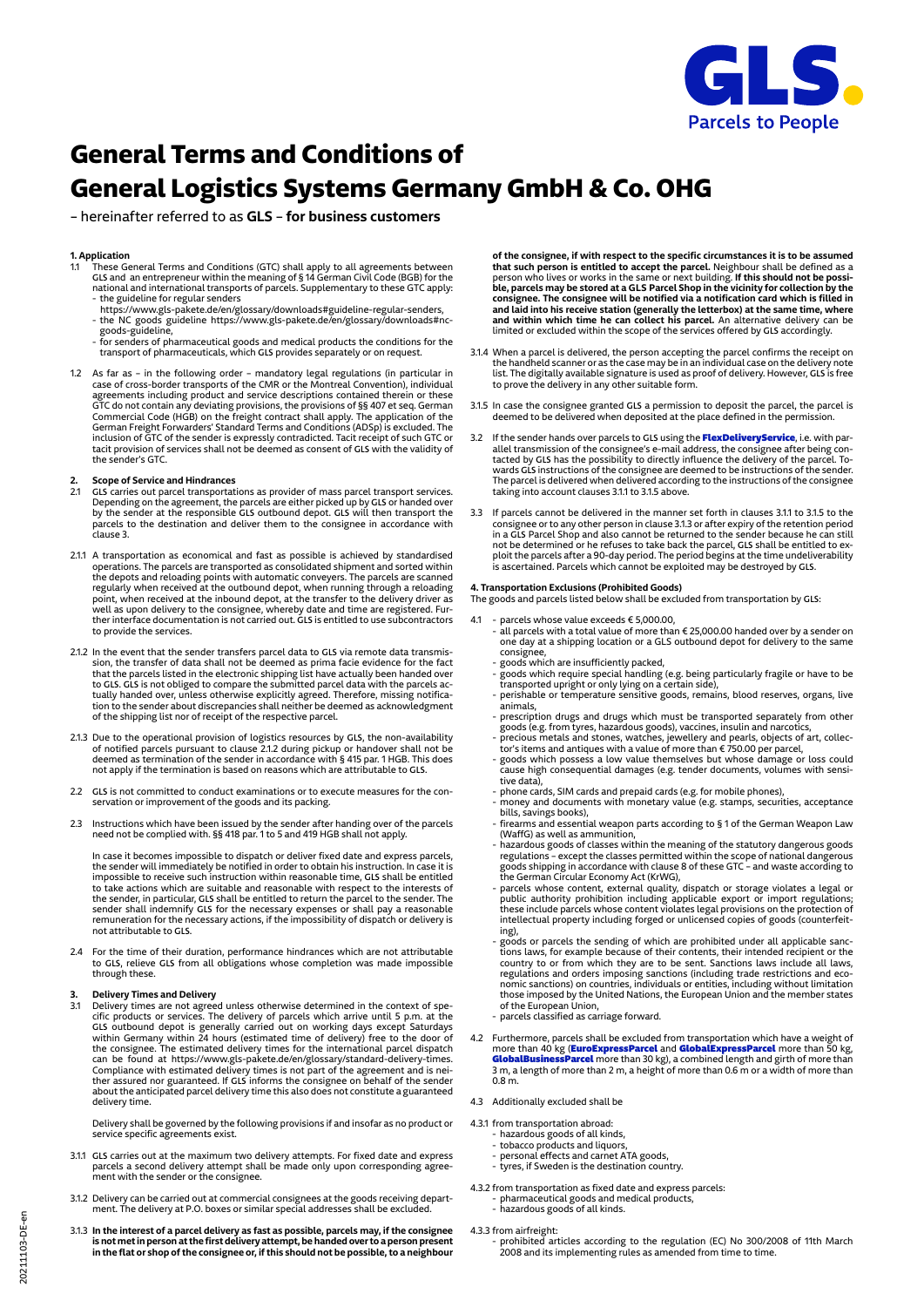

# **General Terms and Conditions of General Logistics Systems Germany GmbH & Co. OHG**

– hereinafter referred to as **GLS** – **for business customers**

- **1. Application**<br>1.1 These General Terms and Conditions (GTC) shall apply to all agreements between.<br>1.1 GLS and an entrepreneur within the meaning of § 14 German Civil Code (BGB) for the<br>1.1.1.1.1.1.1.1.1.1.1.1.1.1.1.1.1.
- the guideline for regular senders https://www.gls-pakete.de/en/glossary/downloads#guideline-regular-senders, - the NC goods guideline https://www.gls-pakete.de/en/glossary/downloads#nc-goods-guideline,
- for senders of pharmaceutical goods and medical products the conditions for the transport of pharmaceuticals, which **GLS** provides separately or on request.
- 1.2 As far as in the following order mandatory legal regulations (in particular in case of cross-border transports of the CMR or the Montreal Convention), individual agreements including product and service descriptions contained therein or these<br>GTC do not contain any deviating provisions, the provisions of §§ 407 et seq. German<br>Commercial Code (HGB) on the freight contract shall appl the sender's GTC.

# **2. Scope of Service and Hindrances**

- 2.1 **GLS** carries out parcel transportations as provider of mass parcel transport services. Depending on the agreement, the parcels are either picked up by GLS or handed over<br>by the sender at the responsible GLS outbound depot. GLS will then transport the<br>parcels to the destination and deliver them to the consign
- 2.1.1 A transportation as economical and fast as possible is achieved by standardised operations. The parcels are transported as consolidated shipment and sorted within the depots and reloading points with automatic conveyers. The parcels are scanned<br>regularly when received at the outbound depot, when running through a reloading<br>point, when received at the inbound depot, at the transfer t ther interface documentation is not carried out. **GLS** is entitled to use subcontractors to provide the services.
- 2.1.2 In the event that the sender transfers parcel data to **GLS** via remote data transmis-sion, the transfer of data shall not be deemed as prima facie evidence for the fact that the parcels listed in the electronic shipping list have actually been handed over to **GLS**. **GLS** is not obliged to compare the submitted parcel data with the parcels actually handed over, unless otherwise explicitly agreed. Therefore, missing notifica-tion to the sender about discrepancies shall neither be deemed as acknowledgment of the shipping list nor of receipt of the respective parcel.
- 2.1.3 Due to the operational provision of logistics resources by GLS, the non-availability<br>of notified parcels pursuant to clause 2.1.2 during pickup or handover shall not be<br>deemed as termination of the sender in accordan not apply if the termination is based on reasons which are attributable to **GLS**.
- 2.2 **GLS** is not committed to conduct examinations or to execute measures for the con-servation or improvement of the goods and its packing.
- 2.3 Instructions which have been issued by the sender after handing over of the parcels need not be complied with. §§ 418 par. 1 to 5 and 419 HGB shall not apply.

 In case it becomes impossible to dispatch or deliver fixed date and express parcels, the sender will immediately be notified in order to obtain his instruction. In case it is impossible to receive such instruction within reasonable time, **GLS** shall be entitled to take actions which are suitable and reasonable with respect to the interests of the sender, in particular, **GLS** shall be entitled to return the parcel to the sender. The sender shall indemnify **GLS** for the necessary expenses or shall pay a reasonable remuneration for the necessary actions, if the impossibility of dispatch or delivery is not attributable to **GLS**.

2.4 For the time of their duration, performance hindrances which are not attributable to **GLS**, relieve **GLS** from all obligations whose completion was made impossible through these.

**3. Delivery Times and Delivery**<br> **3.1 Delivery Times and Delivery**<br> **3.1 Delivery times are not agreed unless otherwise determined in the context of specific products or services. The delivery of parcels which arrive unt** about the anticipated parcel delivery time this also does not constitute a guaranteed delivery time.

 Delivery shall be governed by the following provisions if and insofar as no product or service specific agreements exist.

- 3.1.1 **GLS** carries out at the maximum two delivery attempts. For fixed date and express parcels a second delivery attempt shall be made only upon corresponding agree-ment with the sender or the consignee.
- 3.1.2 Delivery can be carried out at commercial consignees at the goods receiving department. The delivery at P.O. boxes or similar special addresses shall be excluded.
- 3.1.3 **In the interest of a parcel delivery as fast as possible, parcels may, if the consignee is not met in person at the first delivery attempt, be handed over to a person present in the flat or shop of the consignee or, if this should not be possible, to a neighbour**

of the consignee, if with respect to the specific circumstances it is to be assumed<br>that such person is entitled to accept the parcel. Neighbour shall be defined as a<br>person who lives or works in the same or next building. consignee. The consignee will be notified via a notification card which is filled in<br>and laid into his receive station (generally the letterbox) at the same time, where<br>and within which time he can collect his parcel. An a

- 3.1.4 When a parcel is delivered, the person accepting the parcel confirms the receipt on<br>the handheld scanner or as the case may be in an individual case on the delivery note<br>list. The digitally available signature is use
- 3.1.5 In case the consignee granted **GLS** a permission to deposit the parcel, the parcel is deemed to be delivered when deposited at the place defined in the permission.
- 3.2 If the sender hands over parcels to **GLS** using the FlexDeliveryService, i.e. with par-allel transmission of the consignee's e-mail address, the consignee after being contacted by GLS has the possibility to directly influence the delivery of the parcel. To-<br>wards GLS instructions of the consignee are deemed to be instructions of the sender.<br>The parcel is delivered when delivered according taking into account clauses 3.1.1 to 3.1.5 above.
- 3.3 If parcels cannot be delivered in the manner set forth in clauses 3.1.1 to 3.1.5 to the consignee or to any other person in clause 3.1.3 or after expiry of the retention period in a **GLS** Parcel Shop and also cannot be returned to the sender because he can still not be determined or he refuses to take back the parcel, **GLS** shall be entitled to exploit the parcels after a 90-day period. The period begins at the time undeliverability is ascertained. Parcels which cannot be exploited may be destroyed by **GLS**.

## **4. Transportation Exclusions (Prohibited Goods)**

- The goods and parcels listed below shall be excluded from transportation by **GLS**:
- 4.1 parcels whose value exceeds € 5,000.00,
	- all parcels with a total value of more than € 25,000.00 handed over by a sender on one day at a shipping location or a GLS outbound depot for delivery to the same consignee,
	-
- goods which are insufficiently packed,<br>- goods which require special handling (e.g. being particularly fragile or have to be<br>transported upright or only lying on a certain side),<br>- perishable or temperature sensitive goo
	- animals,
- prescription drugs and drugs which must be transported separately from other goods (e.g. from tyres, hazardous goods), vaccines, insulin and narcotics,<br>- precious metals and stones, watches, jewellery and pearls, object
	-
	- cause high consequential damages (e.g. tender documents, volumes with sensitive data),
- phone cards, SIM cards and prepaid cards (e.g. for mobile phones), money and documents with monetary value (e.g. stamps, securities, acceptance
- bills, savings books), firearms and essential weapon parts according to § 1 of the German Weapon Law
- (WaffG) as well as ammunition, hazardous goods of classes within the meaning of the statutory dangerous goods
- regulations except the classes permitted within the scope of national dangerous<br>goods shipping in accordance with clause 8 of these GTC and waste according to<br>the German Circular Economy Act (KrWG),<br>parcels whose conte intellectual property including forged or unlicensed copies of goods (counterfeiting),
- .......<br>goods or parcels the sending of which are prohibited under all applicable sanctions laws, for example because of their contents, their intended recipient or the country to or from which they are to be sent. Sanctions laws include all laws, regulations and orders imposing sanctions (including trade restrictions and eco-<br>nomic sanctions) on countries, individuals or entities, including without limitation<br>those imposed by the United Nations, the European Union
	-
- 4.2 Furthermore, parcels shall be excluded from transportation which have a weight of more than 40 kg (**EuroExpressParcel** and **GlobalExpressParcel** more than 50 kg,<br>**GlobalBusinessParcel** more than 30 kg), a combined length and girth of more than<br>3 m, a length of more than 2 m, a height of more than 0.6 m 0.8 m.
- 4.3 Additionally excluded shall be
- 4.3.1 from transportation abroad:
	-
- hazardous goods of all kinds, tobacco products and liquors, personal effects and carnet ATA goods,
	- tyres, if Sweden is the destination country.
	-
- 4.3.2 from transportation as fixed date and express parcels: pharmaceutical goods and medical products,
	- hazardous goods of all kinds.
- 4.3.3 from airfreight:
- prohibited articles according to the regulation (EC) No 300/2008 of 11th March 2008 and its implementing rules as amended from time to time.